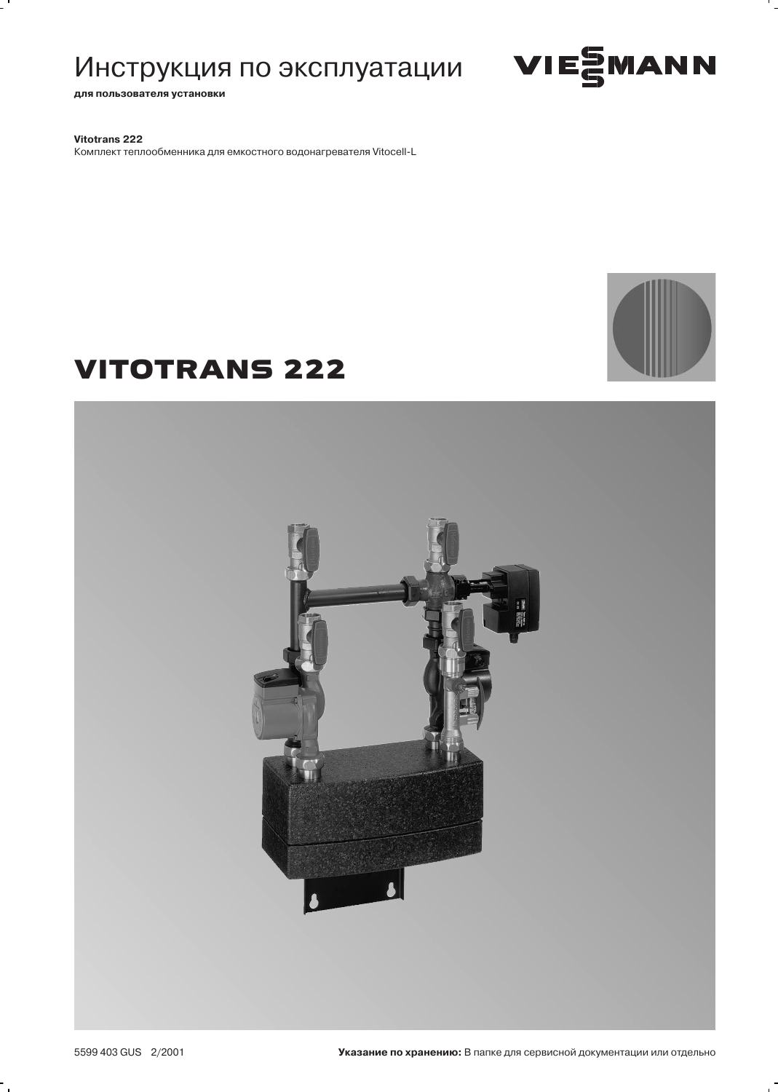# Инструкция по эксплуатации ИЕSМАNN

для пользователя установки

Vitotrans 222

Комплект теплообменника для емкостного водонагревателя Vitocell-L

# **VITOTRANS 222**





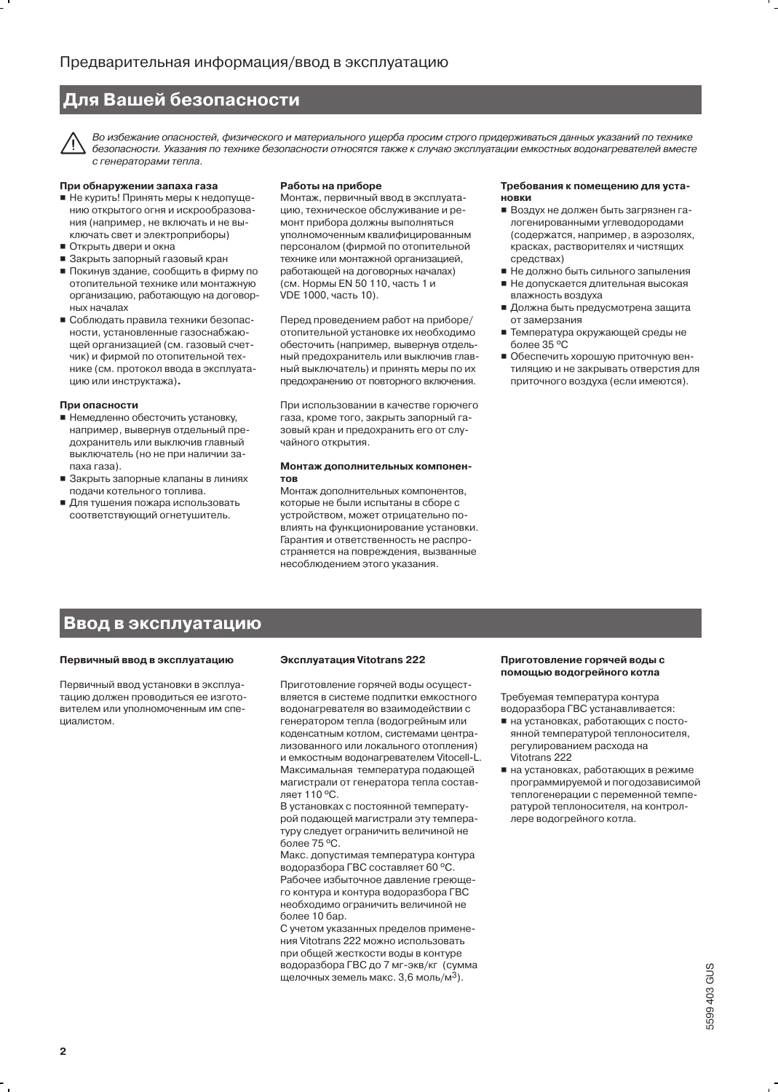# Для Вашей безопасности

Во избежание опасностей, физического и материального ущерба просим строго придерживаться данных указаний по технике безопасности. Указания по технике безопасности относятся также к случаю эксплуатации емкостных водонагревателей вместе с генераторами тепла.

#### При обнаружении запаха газа

- Не курить! Принять меры к недопущению открытого огня и искрообразования (например, не включать и не выключать свет и электроприборы)
- Открыть двери и окна
- Закрыть запорный газовый кран
- Покинув здание, сообщить в фирму по отопительной технике или монтажную организацию, работающую на договорных началах
- Соблюдать правила техники безопасности, установленные газоснабжающей организацией (см. газовый счетчик) и фирмой по отопительной технике (см. протокол ввода в эксплуатацию или инструктажа).

#### При опасности

- Немедленно обесточить установку, например, вывернув отдельный предохранитель или выключив главный выключатель (но не при наличии запаха газа).
- Закрыть запорные клапаны в линиях подачи котельного топлива.
- Для тушения пожара использовать соответствующий огнетушитель.

#### Работы на приборе

Монтаж, первичный ввод в эксплуатацию, техническое обслуживание и ремонт прибора должны выполняться уполномоченным квалифицированным персоналом (фирмой по отопительной технике или монтажной организацией. работающей на договорных началах) (см. Нормы EN 50 110, часть 1 и VDE 1000, часть 10).

Перед проведением работ на приборе/ отопительной установке их необходимо обесточить (например, вывернув отдельный предохранитель или выключив главный выключатель) и принять меры по их предохранению от повторного включения.

При использовании в качестве горючего газа, кроме того, закрыть запорный газовый кран и предохранить его от случайного открытия.

#### Монтаж дополнительных компонен-**TOB**

Монтаж дополнительных компонентов, которые не были испытаны в сборе с устройством, может отрицательно повлиять на функционирование установки. Гарантия и ответственность не распространяется на повреждения, вызванные несоблюдением этого указания.

#### Требования к помещению для уста-**НОВКИ**

- Воздух не должен быть загрязнен галогенированными углеводородами (содержатся, например, в аэрозолях, красках, растворителях и чистящих средствах)
- Не должно быть сильного запыления ■ Не допускается длительная высокая
- влажность воздуха ■ Должна быть предусмотрена защита от замерзания
- Температура окружающей среды не более 35 °C
- Обеспечить хорошую приточную вентиляцию и не закрывать отверстия для приточного воздуха (если имеются).

### Ввод в эксплуатацию

#### Первичный ввод в эксплуатацию

Первичный ввод установки в эксплуатацию должен проводиться ее изготовителем или уполномоченным им специалистом.

#### Эксплуатация Vitotrans 222

Приготовление горячей воды осуществляется в системе подпитки емкостного водонагревателя во взаимодействии с генератором тепла (водогрейным или коденсатным котлом, системами централизованного или локального отопления) и емкостным водонагревателем Vitocell-L. Максимальная температура подающей магистрали от генератора тепла составляет 110 °С.

В установках с постоянной температурой подающей магистрали эту температуру следует ограничить величиной не более 75 °С.

Макс. допустимая температура контура водоразбора ГВС составляет 60 °С. Рабочее избыточное давление греющего контура и контура водоразбора ГВС необходимо ограничить величиной не более 10 бар.

С учетом указанных пределов применения Vitotrans 222 можно использовать при общей жесткости воды в контуре водоразбора ГВС до 7 мг-экв/кг (сумма щелочных земель макс. 3,6 моль/м<sup>3</sup>).

#### Приготовление горячей воды с помощью водогрейного котла

Требуемая температура контура водоразбора ГВС устанавливается:

- на установках, работающих с постоянной температурой теплоносителя, регулированием расхода на Vitotrans 222
- на установках, работающих в режиме программируемой и погодозависимой теплогенерации с переменной температурой теплоносителя, на контроллере водогрейного котла.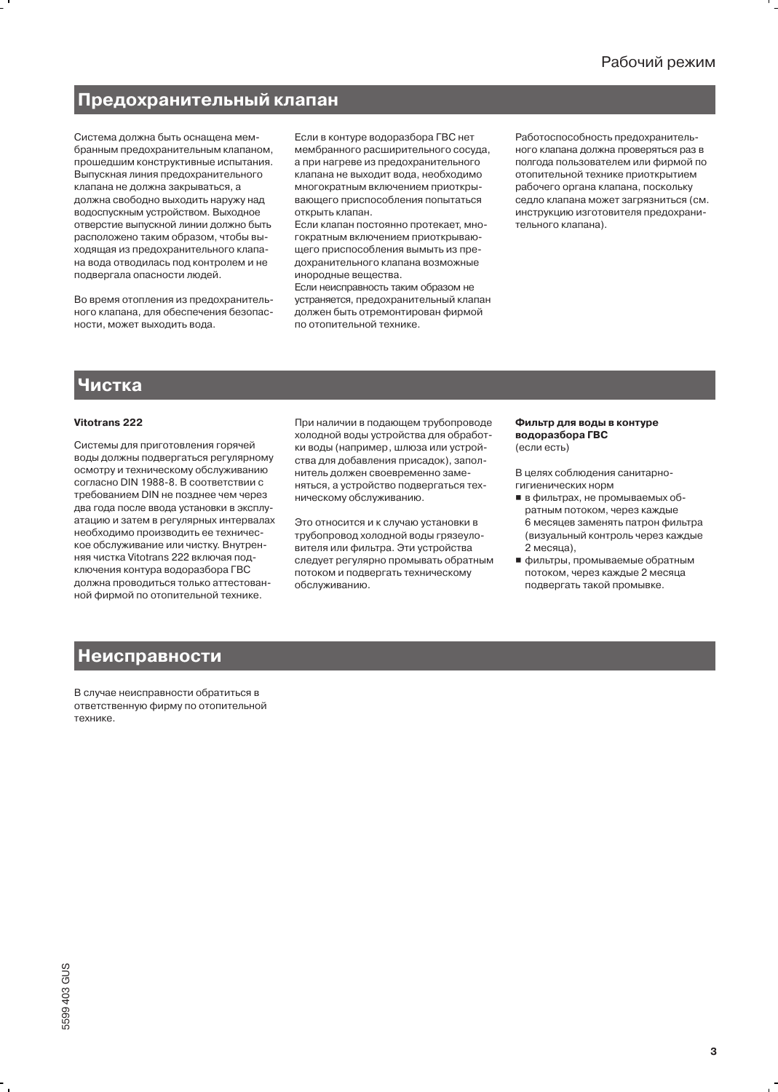# Предохранительный клапан

Система должна быть оснащена мембранным предохранительным клапаном, прошедшим конструктивные испытания. Выпускная линия предохранительного клапана не лолжна закрываться, а должна свободно выходить наружу над водоспускным устройством. Выходное отверстие выпускной линии должно быть расположено таким образом, чтобы выходящая из предохранительного клапана вода отводилась под контролем и не подвергала опасности людей.

Во время отопления из предохранительного клапана, для обеспечения безопасности, может выходить вода.

Если в контуре водоразбора ГВС нет мембранного расширительного сосуда, а при нагреве из предохранительного клапана не выходит вода, необходимо МНОГОКОЯТНЫМ ВКЛЮЧЕНИЕМ ПОИОТКОЫвающего приспособления попытаться открыть клапан.

Если клапан постоянно протекает, многократным включением приоткрывающего приспособления вымыть из предохранительного клапана возможные инородные вещества.

Если неисправность таким образом не устраняется, предохранительный клапан должен быть отремонтирован фирмой по отопительной технике.

Работоспособность предохранительного клапана должна проверяться раз в полгода пользователем или фирмой по отопительной технике приоткрытием рабочего органа клапана, поскольку седло клапана может загрязниться (см. инструкцию изготовителя предохранительного клапана).

## Чистка

#### Vitotrans 222

Системы для приготовления горячей воды должны подвергаться регулярному осмотру и техническому обслуживанию согласно DIN 1988-8. В соответствии с требованием DIN не позднее чем через два года после ввода установки в эксплуатацию и затем в регулярных интервалах необходимо производить ее техническое обслуживание или чистку. Внутренняя чистка Vitotrans 222 включая подключения контура водоразбора ГВС должна проводиться только аттестованной фирмой по отопительной технике.

При наличии в подающем трубопроводе холодной воды устройства для обработки воды (например, шлюза или устройства для добавления присадок), заполнитель должен своевременно заменяться, а устройство подвергаться техническому обслуживанию.

Это относится и к случаю установки в трубопровод холодной воды грязеуловителя или фильтра. Эти устройства следует регулярно промывать обратным потоком и подвергать техническому обслуживанию.

#### Фильтр для воды в контуре водоразбора ГВС (если есть)

В целях соблюдения санитарногигиенических норм

- в фильтрах, не промываемых обратным потоком, через каждые 6 месяцев заменять патрон фильтра (визуальный контроль через каждые 2 месяца),
- фильтры, промываемые обратным потоком, через каждые 2 месяца подвергать такой промывке.

# **Неисправности**

В случае неисправности обратиться в ответственную фирму по отопительной технике.